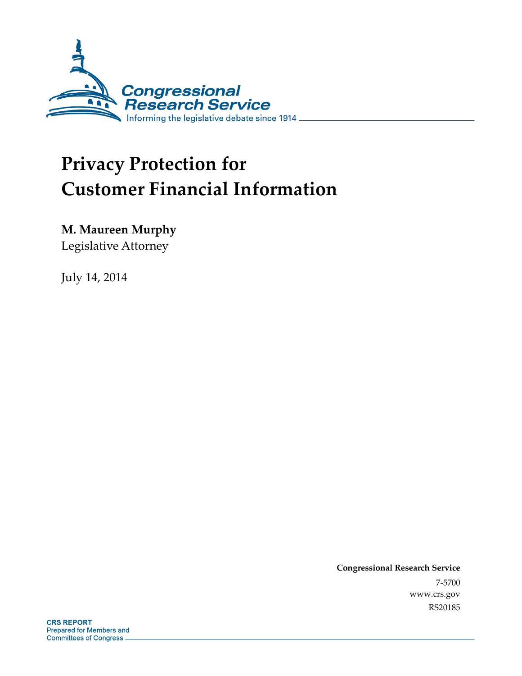

# **Privacy Protection for Customer Financial Information**

**M. Maureen Murphy** 

Legislative Attorney

July 14, 2014

**Congressional Research Service**  7-5700 www.crs.gov RS20185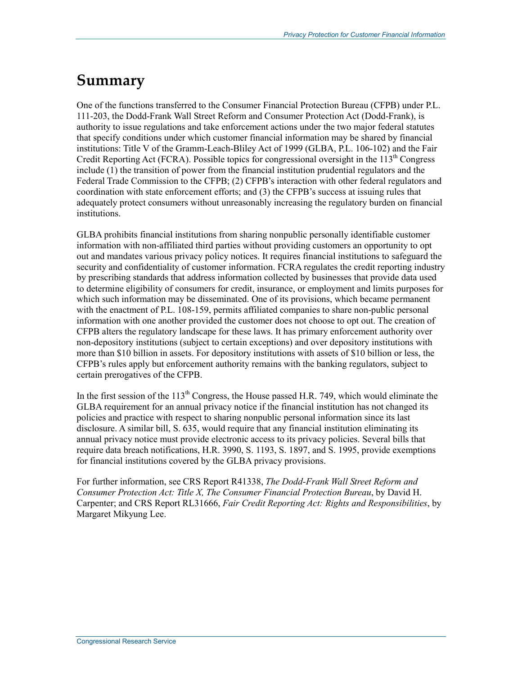## **Summary**

One of the functions transferred to the Consumer Financial Protection Bureau (CFPB) under P.L. 111-203, the Dodd-Frank Wall Street Reform and Consumer Protection Act (Dodd-Frank), is authority to issue regulations and take enforcement actions under the two major federal statutes that specify conditions under which customer financial information may be shared by financial institutions: Title V of the Gramm-Leach-Bliley Act of 1999 (GLBA, P.L. 106-102) and the Fair Credit Reporting Act (FCRA). Possible topics for congressional oversight in the 113<sup>th</sup> Congress include (1) the transition of power from the financial institution prudential regulators and the Federal Trade Commission to the CFPB; (2) CFPB's interaction with other federal regulators and coordination with state enforcement efforts; and (3) the CFPB's success at issuing rules that adequately protect consumers without unreasonably increasing the regulatory burden on financial institutions.

GLBA prohibits financial institutions from sharing nonpublic personally identifiable customer information with non-affiliated third parties without providing customers an opportunity to opt out and mandates various privacy policy notices. It requires financial institutions to safeguard the security and confidentiality of customer information. FCRA regulates the credit reporting industry by prescribing standards that address information collected by businesses that provide data used to determine eligibility of consumers for credit, insurance, or employment and limits purposes for which such information may be disseminated. One of its provisions, which became permanent with the enactment of P.L. 108-159, permits affiliated companies to share non-public personal information with one another provided the customer does not choose to opt out. The creation of CFPB alters the regulatory landscape for these laws. It has primary enforcement authority over non-depository institutions (subject to certain exceptions) and over depository institutions with more than \$10 billion in assets. For depository institutions with assets of \$10 billion or less, the CFPB's rules apply but enforcement authority remains with the banking regulators, subject to certain prerogatives of the CFPB.

In the first session of the  $113<sup>th</sup>$  Congress, the House passed H.R. 749, which would eliminate the GLBA requirement for an annual privacy notice if the financial institution has not changed its policies and practice with respect to sharing nonpublic personal information since its last disclosure. A similar bill, S. 635, would require that any financial institution eliminating its annual privacy notice must provide electronic access to its privacy policies. Several bills that require data breach notifications, H.R. 3990, S. 1193, S. 1897, and S. 1995, provide exemptions for financial institutions covered by the GLBA privacy provisions.

For further information, see CRS Report R41338, *The Dodd-Frank Wall Street Reform and Consumer Protection Act: Title X, The Consumer Financial Protection Bureau*, by David H. Carpenter; and CRS Report RL31666, *Fair Credit Reporting Act: Rights and Responsibilities*, by Margaret Mikyung Lee.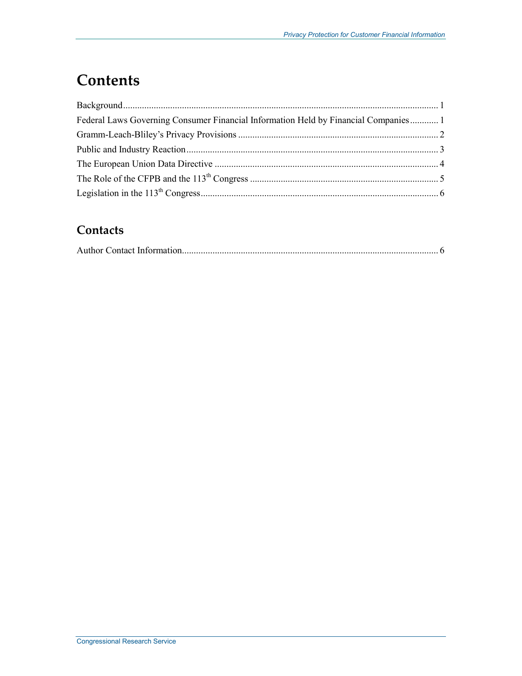## **Contents**

| ${\bf Background.}.\hspace*{2em} \label{q:3} \vspace*{1}$                           |  |
|-------------------------------------------------------------------------------------|--|
| Federal Laws Governing Consumer Financial Information Held by Financial Companies 1 |  |
|                                                                                     |  |
|                                                                                     |  |
|                                                                                     |  |
|                                                                                     |  |
|                                                                                     |  |

#### **Contacts**

|--|--|--|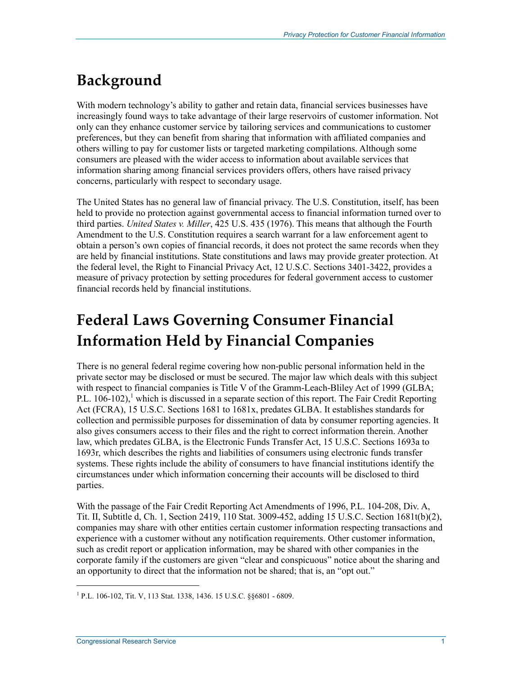# **Background**

With modern technology's ability to gather and retain data, financial services businesses have increasingly found ways to take advantage of their large reservoirs of customer information. Not only can they enhance customer service by tailoring services and communications to customer preferences, but they can benefit from sharing that information with affiliated companies and others willing to pay for customer lists or targeted marketing compilations. Although some consumers are pleased with the wider access to information about available services that information sharing among financial services providers offers, others have raised privacy concerns, particularly with respect to secondary usage.

The United States has no general law of financial privacy. The U.S. Constitution, itself, has been held to provide no protection against governmental access to financial information turned over to third parties. *United States v. Miller*, 425 U.S. 435 (1976). This means that although the Fourth Amendment to the U.S. Constitution requires a search warrant for a law enforcement agent to obtain a person's own copies of financial records, it does not protect the same records when they are held by financial institutions. State constitutions and laws may provide greater protection. At the federal level, the Right to Financial Privacy Act, 12 U.S.C. Sections 3401-3422, provides a measure of privacy protection by setting procedures for federal government access to customer financial records held by financial institutions.

## **Federal Laws Governing Consumer Financial Information Held by Financial Companies**

There is no general federal regime covering how non-public personal information held in the private sector may be disclosed or must be secured. The major law which deals with this subject with respect to financial companies is Title V of the Gramm-Leach-Bliley Act of 1999 (GLBA; P.L.  $106-102$ ,<sup>1</sup> which is discussed in a separate section of this report. The Fair Credit Reporting Act (FCRA), 15 U.S.C. Sections 1681 to 1681x, predates GLBA. It establishes standards for collection and permissible purposes for dissemination of data by consumer reporting agencies. It also gives consumers access to their files and the right to correct information therein. Another law, which predates GLBA, is the Electronic Funds Transfer Act, 15 U.S.C. Sections 1693a to 1693r, which describes the rights and liabilities of consumers using electronic funds transfer systems. These rights include the ability of consumers to have financial institutions identify the circumstances under which information concerning their accounts will be disclosed to third parties.

With the passage of the Fair Credit Reporting Act Amendments of 1996, P.L. 104-208, Div. A, Tit. II, Subtitle d, Ch. 1, Section 2419, 110 Stat. 3009-452, adding 15 U.S.C. Section 1681t(b)(2), companies may share with other entities certain customer information respecting transactions and experience with a customer without any notification requirements. Other customer information, such as credit report or application information, may be shared with other companies in the corporate family if the customers are given "clear and conspicuous" notice about the sharing and an opportunity to direct that the information not be shared; that is, an "opt out."

<sup>&</sup>lt;sup>1</sup> P.L. 106-102, Tit. V, 113 Stat. 1338, 1436. 15 U.S.C. §§6801 - 6809.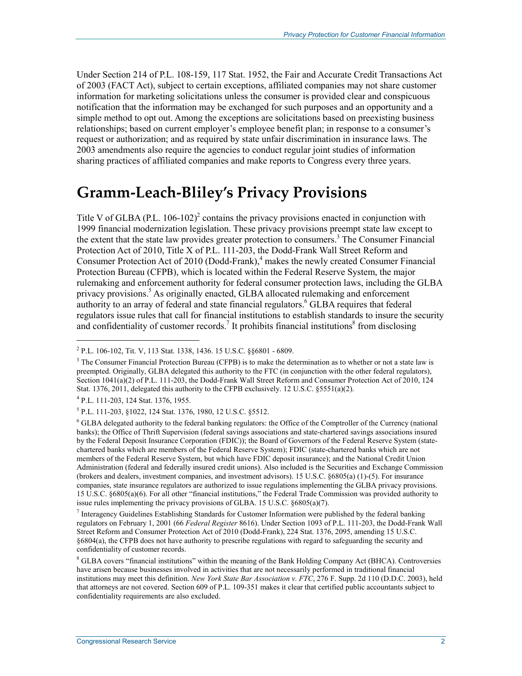Under Section 214 of P.L. 108-159, 117 Stat. 1952, the Fair and Accurate Credit Transactions Act of 2003 (FACT Act), subject to certain exceptions, affiliated companies may not share customer information for marketing solicitations unless the consumer is provided clear and conspicuous notification that the information may be exchanged for such purposes and an opportunity and a simple method to opt out. Among the exceptions are solicitations based on preexisting business relationships; based on current employer's employee benefit plan; in response to a consumer's request or authorization; and as required by state unfair discrimination in insurance laws. The 2003 amendments also require the agencies to conduct regular joint studies of information sharing practices of affiliated companies and make reports to Congress every three years.

#### **Gramm-Leach-Bliley's Privacy Provisions**

Title V of GLBA (P.L.  $106-102$ )<sup>2</sup> contains the privacy provisions enacted in conjunction with 1999 financial modernization legislation. These privacy provisions preempt state law except to the extent that the state law provides greater protection to consumers.<sup>3</sup> The Consumer Financial Protection Act of 2010, Title X of P.L. 111-203, the Dodd-Frank Wall Street Reform and Consumer Protection Act of 2010 (Dodd-Frank),<sup>4</sup> makes the newly created Consumer Financial Protection Bureau (CFPB), which is located within the Federal Reserve System, the major rulemaking and enforcement authority for federal consumer protection laws, including the GLBA privacy provisions.<sup>5</sup> As originally enacted, GLBA allocated rulemaking and enforcement authority to an array of federal and state financial regulators.<sup>6</sup> GLBA requires that federal regulators issue rules that call for financial institutions to establish standards to insure the security and confidentiality of customer records.<sup>7</sup> It prohibits financial institutions<sup>8</sup> from disclosing

<sup>&</sup>lt;sup>2</sup> P.L. 106-102, Tit. V, 113 Stat. 1338, 1436. 15 U.S.C. §§6801 - 6809.

<sup>&</sup>lt;sup>3</sup> The Consumer Financial Protection Bureau (CFPB) is to make the determination as to whether or not a state law is preempted. Originally, GLBA delegated this authority to the FTC (in conjunction with the other federal regulators), Section 1041(a)(2) of P.L. 111-203, the Dodd-Frank Wall Street Reform and Consumer Protection Act of 2010, 124 Stat. 1376, 2011, delegated this authority to the CFPB exclusively. 12 U.S.C. §5551(a)(2).

<sup>4</sup> P.L. 111-203, 124 Stat. 1376, 1955.

<sup>5</sup> P.L. 111-203, §1022, 124 Stat. 1376, 1980, 12 U.S.C. §5512.

<sup>&</sup>lt;sup>6</sup> GLBA delegated authority to the federal banking regulators: the Office of the Comptroller of the Currency (national banks); the Office of Thrift Supervision (federal savings associations and state-chartered savings associations insured by the Federal Deposit Insurance Corporation (FDIC)); the Board of Governors of the Federal Reserve System (statechartered banks which are members of the Federal Reserve System); FDIC (state-chartered banks which are not members of the Federal Reserve System, but which have FDIC deposit insurance); and the National Credit Union Administration (federal and federally insured credit unions). Also included is the Securities and Exchange Commission (brokers and dealers, investment companies, and investment advisors). 15 U.S.C. §6805(a) (1)-(5). For insurance companies, state insurance regulators are authorized to issue regulations implementing the GLBA privacy provisions. 15 U.S.C. §6805(a)(6). For all other "financial institutions," the Federal Trade Commission was provided authority to issue rules implementing the privacy provisions of GLBA. 15 U.S.C. §6805(a)(7).

<sup>&</sup>lt;sup>7</sup> Interagency Guidelines Establishing Standards for Customer Information were published by the federal banking regulators on February 1, 2001 (66 *Federal Register* 8616). Under Section 1093 of P.L. 111-203, the Dodd-Frank Wall Street Reform and Consumer Protection Act of 2010 (Dodd-Frank), 224 Stat. 1376, 2095, amending 15 U.S.C. §6804(a), the CFPB does not have authority to prescribe regulations with regard to safeguarding the security and confidentiality of customer records.

<sup>&</sup>lt;sup>8</sup> GLBA covers "financial institutions" within the meaning of the Bank Holding Company Act (BHCA). Controversies have arisen because businesses involved in activities that are not necessarily performed in traditional financial institutions may meet this definition. *New York State Bar Association v. FTC*, 276 F. Supp. 2d 110 (D.D.C. 2003), held that attorneys are not covered. Section 609 of P.L. 109-351 makes it clear that certified public accountants subject to confidentiality requirements are also excluded.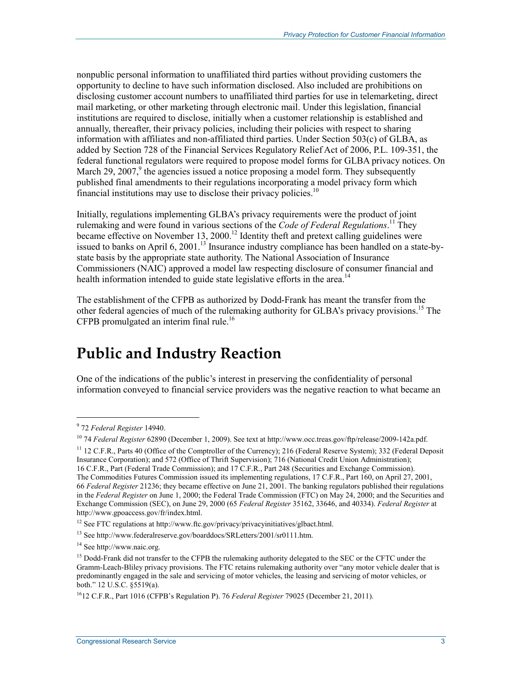nonpublic personal information to unaffiliated third parties without providing customers the opportunity to decline to have such information disclosed. Also included are prohibitions on disclosing customer account numbers to unaffiliated third parties for use in telemarketing, direct mail marketing, or other marketing through electronic mail. Under this legislation, financial institutions are required to disclose, initially when a customer relationship is established and annually, thereafter, their privacy policies, including their policies with respect to sharing information with affiliates and non-affiliated third parties. Under Section 503(c) of GLBA, as added by Section 728 of the Financial Services Regulatory Relief Act of 2006, P.L. 109-351, the federal functional regulators were required to propose model forms for GLBA privacy notices. On March 29, 2007, $9$  the agencies issued a notice proposing a model form. They subsequently published final amendments to their regulations incorporating a model privacy form which financial institutions may use to disclose their privacy policies.<sup>10</sup>

Initially, regulations implementing GLBA's privacy requirements were the product of joint rulemaking and were found in various sections of the *Code of Federal Regulations*.<sup>11</sup> They became effective on November 13, 2000.<sup>12</sup> Identity theft and pretext calling guidelines were issued to banks on April 6, 2001.13 Insurance industry compliance has been handled on a state-bystate basis by the appropriate state authority. The National Association of Insurance Commissioners (NAIC) approved a model law respecting disclosure of consumer financial and health information intended to guide state legislative efforts in the area.<sup>14</sup>

The establishment of the CFPB as authorized by Dodd-Frank has meant the transfer from the other federal agencies of much of the rulemaking authority for GLBA's privacy provisions.<sup>15</sup> The CFPB promulgated an interim final rule.<sup>16</sup>

#### **Public and Industry Reaction**

One of the indications of the public's interest in preserving the confidentiality of personal information conveyed to financial service providers was the negative reaction to what became an

<sup>9</sup> 72 *Federal Register* 14940.

<sup>10 74</sup> *Federal Register* 62890 (December 1, 2009). See text at http://www.occ.treas.gov/ftp/release/2009-142a.pdf.

 $11$  12 C.F.R., Parts 40 (Office of the Comptroller of the Currency); 216 (Federal Reserve System); 332 (Federal Deposit Insurance Corporation); and 572 (Office of Thrift Supervision); 716 (National Credit Union Administration);

<sup>16</sup> C.F.R., Part (Federal Trade Commission); and 17 C.F.R., Part 248 (Securities and Exchange Commission). The Commodities Futures Commission issued its implementing regulations, 17 C.F.R., Part 160, on April 27, 2001, 66 *Federal Register* 21236; they became effective on June 21, 2001. The banking regulators published their regulations in the *Federal Register* on June 1, 2000; the Federal Trade Commission (FTC) on May 24, 2000; and the Securities and Exchange Commission (SEC), on June 29, 2000 (65 *Federal Register* 35162, 33646, and 40334). *Federal Register* at http://www.gpoaccess.gov/fr/index.html.

<sup>12</sup> See FTC regulations at http://www.ftc.gov/privacy/privacyinitiatives/glbact.html.

<sup>13</sup> See http://www.federalreserve.gov/boarddocs/SRLetters/2001/sr0111.htm.

<sup>14</sup> See http://www.naic.org.

<sup>&</sup>lt;sup>15</sup> Dodd-Frank did not transfer to the CFPB the rulemaking authority delegated to the SEC or the CFTC under the Gramm-Leach-Bliley privacy provisions. The FTC retains rulemaking authority over "any motor vehicle dealer that is predominantly engaged in the sale and servicing of motor vehicles, the leasing and servicing of motor vehicles, or both." 12 U.S.C. §5519(a).

<sup>1612</sup> C.F.R., Part 1016 (CFPB's Regulation P). 76 *Federal Register* 79025 (December 21, 2011).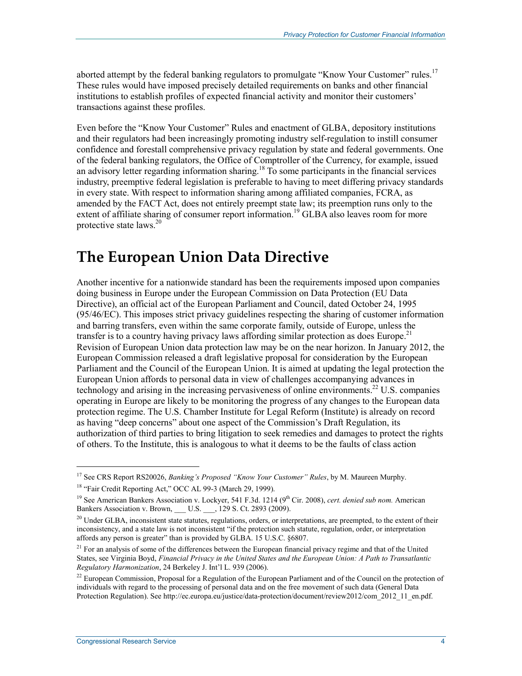aborted attempt by the federal banking regulators to promulgate "Know Your Customer" rules.<sup>17</sup> These rules would have imposed precisely detailed requirements on banks and other financial institutions to establish profiles of expected financial activity and monitor their customers' transactions against these profiles.

Even before the "Know Your Customer" Rules and enactment of GLBA, depository institutions and their regulators had been increasingly promoting industry self-regulation to instill consumer confidence and forestall comprehensive privacy regulation by state and federal governments. One of the federal banking regulators, the Office of Comptroller of the Currency, for example, issued an advisory letter regarding information sharing.<sup>18</sup> To some participants in the financial services industry, preemptive federal legislation is preferable to having to meet differing privacy standards in every state. With respect to information sharing among affiliated companies, FCRA, as amended by the FACT Act, does not entirely preempt state law; its preemption runs only to the extent of affiliate sharing of consumer report information.<sup>19</sup> GLBA also leaves room for more protective state  $laws.<sup>20</sup>$ 

#### **The European Union Data Directive**

Another incentive for a nationwide standard has been the requirements imposed upon companies doing business in Europe under the European Commission on Data Protection (EU Data Directive), an official act of the European Parliament and Council, dated October 24, 1995 (95/46/EC). This imposes strict privacy guidelines respecting the sharing of customer information and barring transfers, even within the same corporate family, outside of Europe, unless the transfer is to a country having privacy laws affording similar protection as does Europe.<sup>21</sup> Revision of European Union data protection law may be on the near horizon. In January 2012, the European Commission released a draft legislative proposal for consideration by the European Parliament and the Council of the European Union. It is aimed at updating the legal protection the European Union affords to personal data in view of challenges accompanying advances in technology and arising in the increasing pervasiveness of online environments.<sup>22</sup> U.S. companies operating in Europe are likely to be monitoring the progress of any changes to the European data protection regime. The U.S. Chamber Institute for Legal Reform (Institute) is already on record as having "deep concerns" about one aspect of the Commission's Draft Regulation, its authorization of third parties to bring litigation to seek remedies and damages to protect the rights of others. To the Institute, this is analogous to what it deems to be the faults of class action

<sup>17</sup> See CRS Report RS20026, *Banking's Proposed "Know Your Customer" Rules*, by M. Maureen Murphy.

<sup>&</sup>lt;sup>18</sup> "Fair Credit Reporting Act," OCC AL 99-3 (March 29, 1999).

<sup>&</sup>lt;sup>19</sup> See American Bankers Association v. Lockyer, 541 F.3d. 1214 (9<sup>th</sup> Cir. 2008), *cert. denied sub nom.* American Bankers Association v. Brown, \_\_\_ U.S. \_\_\_, 129 S. Ct. 2893 (2009).

<sup>&</sup>lt;sup>20</sup> Under GLBA, inconsistent state statutes, regulations, orders, or interpretations, are preempted, to the extent of their inconsistency, and a state law is not inconsistent "if the protection such statute, regulation, order, or interpretation affords any person is greater" than is provided by GLBA. 15 U.S.C. §6807.

<sup>&</sup>lt;sup>21</sup> For an analysis of some of the differences between the European financial privacy regime and that of the United States, see Virginia Boyd, *Financial Privacy in the United States and the European Union: A Path to Transatlantic Regulatory Harmonization*, 24 Berkeley J. Int'l L. 939 (2006).

<sup>&</sup>lt;sup>22</sup> European Commission, Proposal for a Regulation of the European Parliament and of the Council on the protection of individuals with regard to the processing of personal data and on the free movement of such data (General Data Protection Regulation). See http://ec.europa.eu/justice/data-protection/document/review2012/com\_2012\_11\_en.pdf.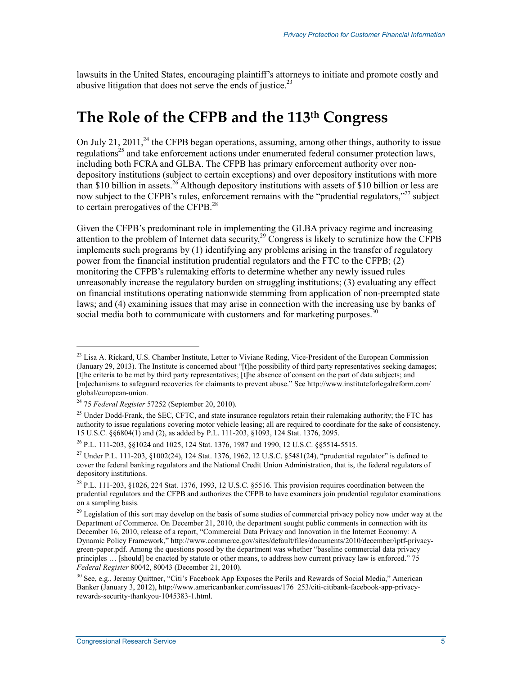lawsuits in the United States, encouraging plaintiff's attorneys to initiate and promote costly and abusive litigation that does not serve the ends of justice.<sup>23</sup>

### **The Role of the CFPB and the 113th Congress**

On July 21, 2011,<sup>24</sup> the CFPB began operations, assuming, among other things, authority to issue regulations<sup>25</sup> and take enforcement actions under enumerated federal consumer protection laws. including both FCRA and GLBA. The CFPB has primary enforcement authority over nondepository institutions (subject to certain exceptions) and over depository institutions with more than \$10 billion in assets.<sup>26</sup> Although depository institutions with assets of \$10 billion or less are now subject to the CFPB's rules, enforcement remains with the "prudential regulators,"<sup>27</sup> subject to certain prerogatives of the CFPB.<sup>28</sup>

Given the CFPB's predominant role in implementing the GLBA privacy regime and increasing attention to the problem of Internet data security,<sup>29</sup> Congress is likely to scrutinize how the CFPB implements such programs by (1) identifying any problems arising in the transfer of regulatory power from the financial institution prudential regulators and the FTC to the CFPB; (2) monitoring the CFPB's rulemaking efforts to determine whether any newly issued rules unreasonably increase the regulatory burden on struggling institutions; (3) evaluating any effect on financial institutions operating nationwide stemming from application of non-preempted state laws; and (4) examining issues that may arise in connection with the increasing use by banks of social media both to communicate with customers and for marketing purposes.<sup>30</sup>

 $\overline{a}$ 

<sup>&</sup>lt;sup>23</sup> Lisa A. Rickard, U.S. Chamber Institute, Letter to Viviane Reding, Vice-President of the European Commission (January 29, 2013). The Institute is concerned about "[t]he possibility of third party representatives seeking damages; [t]he criteria to be met by third party representatives; [t]he absence of consent on the part of data subjects; and [m]echanisms to safeguard recoveries for claimants to prevent abuse." See http://www.instituteforlegalreform.com/ global/european-union.

<sup>24 75</sup> *Federal Register* 57252 (September 20, 2010).

<sup>&</sup>lt;sup>25</sup> Under Dodd-Frank, the SEC, CFTC, and state insurance regulators retain their rulemaking authority; the FTC has authority to issue regulations covering motor vehicle leasing; all are required to coordinate for the sake of consistency. 15 U.S.C. §§6804(1) and (2), as added by P.L. 111-203, §1093, 124 Stat. 1376, 2095.

<sup>26</sup> P.L. 111-203, §§1024 and 1025, 124 Stat. 1376, 1987 and 1990, 12 U.S.C. §§5514-5515.

<sup>&</sup>lt;sup>27</sup> Under P.L. 111-203, §1002(24), 124 Stat. 1376, 1962, 12 U.S.C. §5481(24), "prudential regulator" is defined to cover the federal banking regulators and the National Credit Union Administration, that is, the federal regulators of depository institutions.

<sup>28</sup> P.L. 111-203, §1026, 224 Stat. 1376, 1993, 12 U.S.C. §5516. This provision requires coordination between the prudential regulators and the CFPB and authorizes the CFPB to have examiners join prudential regulator examinations on a sampling basis.

<sup>&</sup>lt;sup>29</sup> Legislation of this sort may develop on the basis of some studies of commercial privacy policy now under way at the Department of Commerce. On December 21, 2010, the department sought public comments in connection with its December 16, 2010, release of a report, "Commercial Data Privacy and Innovation in the Internet Economy: A Dynamic Policy Framework," http://www.commerce.gov/sites/default/files/documents/2010/december/iptf-privacygreen-paper.pdf. Among the questions posed by the department was whether "baseline commercial data privacy principles … [should] be enacted by statute or other means, to address how current privacy law is enforced." 75 *Federal Register* 80042, 80043 (December 21, 2010).

<sup>30</sup> See, e.g., Jeremy Quittner, "Citi's Facebook App Exposes the Perils and Rewards of Social Media," American Banker (January 3, 2012), http://www.americanbanker.com/issues/176\_253/citi-citibank-facebook-app-privacyrewards-security-thankyou-1045383-1.html.